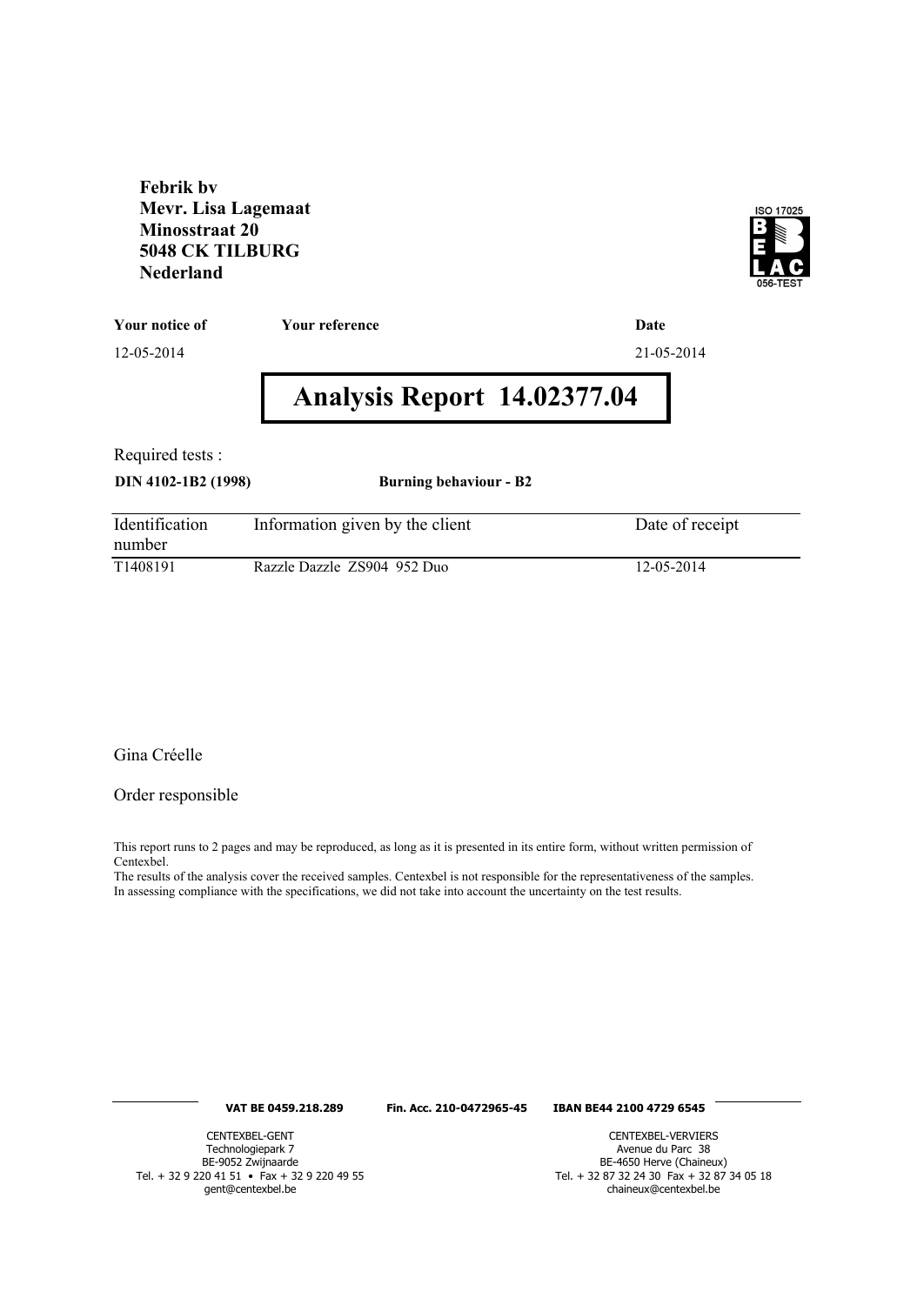**Febrik bv Mevr. Lisa Lagemaat Minosstraat 20 5048 CK TILBURG Nederland**



**Your notice of Your reference Date**

12-05-2014 21-05-2014

# **Analysis Report 14.02377.04**

Required tests :

**DIN 4102-1B2 (1998) Burning behaviour - B2**

| Identification<br>number | Information given by the client | Date of receipt |
|--------------------------|---------------------------------|-----------------|
| T <sub>1408</sub> 191    | Razzle Dazzle ZS904 952 Duo     | 12-05-2014      |

Gina Créelle

Order responsible

This report runs to 2 pages and may be reproduced, as long as it is presented in its entire form, without written permission of Centexbel.

The results of the analysis cover the received samples. Centexbel is not responsible for the representativeness of the samples. In assessing compliance with the specifications, we did not take into account the uncertainty on the test results.

#### **VAT BE 0459.218.289 Fin. Acc. 210-0472965-45 IBAN BE44 2100 4729 6545**

CENTEXBEL-GENT Technologiepark 7 BE-9052 Zwijnaarde Tel. + 32 9 220 41 51 • Fax + 32 9 220 49 55 gent@centexbel.be

CENTEXBEL-VERVIERS Avenue du Parc 38 BE-4650 Herve (Chaineux) Tel. + 32 87 32 24 30 Fax + 32 87 34 05 18 chaineux@centexbel.be